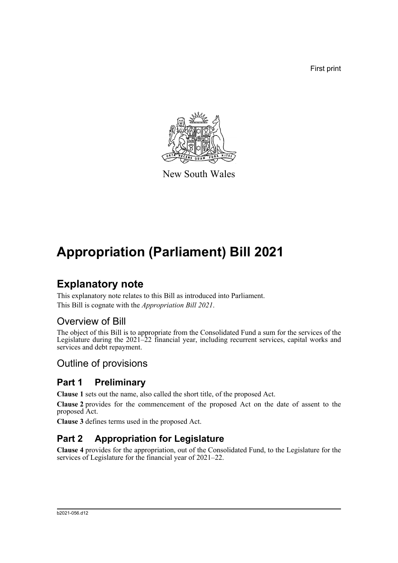First print



New South Wales

# **Appropriation (Parliament) Bill 2021**

## **Explanatory note**

This explanatory note relates to this Bill as introduced into Parliament. This Bill is cognate with the *Appropriation Bill 2021*.

## Overview of Bill

The object of this Bill is to appropriate from the Consolidated Fund a sum for the services of the Legislature during the 2021–22 financial year, including recurrent services, capital works and services and debt repayment.

## Outline of provisions

## **Part 1 Preliminary**

**Clause 1** sets out the name, also called the short title, of the proposed Act.

**Clause 2** provides for the commencement of the proposed Act on the date of assent to the proposed Act.

**Clause 3** defines terms used in the proposed Act.

## **Part 2 Appropriation for Legislature**

**Clause 4** provides for the appropriation, out of the Consolidated Fund, to the Legislature for the services of Legislature for the financial year of 2021–22.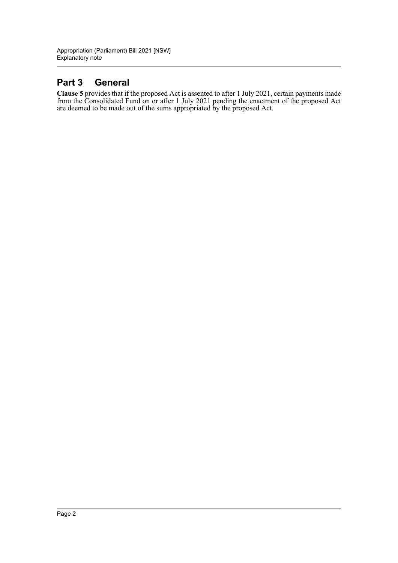### **Part 3 General**

**Clause 5** provides that if the proposed Act is assented to after 1 July 2021, certain payments made from the Consolidated Fund on or after 1 July 2021 pending the enactment of the proposed Act are deemed to be made out of the sums appropriated by the proposed Act.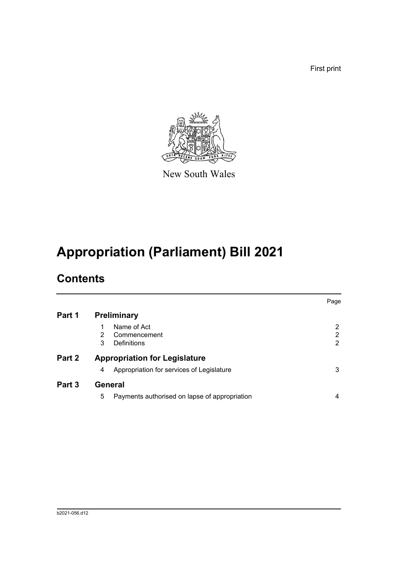First print



New South Wales

# **Appropriation (Parliament) Bill 2021**

## **Contents**

|        |                                                                                        | Page        |
|--------|----------------------------------------------------------------------------------------|-------------|
| Part 1 | <b>Preliminary</b>                                                                     |             |
|        | Name of Act<br>$\mathcal{P}$<br>Commencement<br>Definitions<br>3                       | 2<br>2<br>2 |
| Part 2 | <b>Appropriation for Legislature</b><br>Appropriation for services of Legislature<br>4 | 3           |
| Part 3 | <b>General</b><br>5<br>Payments authorised on lapse of appropriation                   | 4           |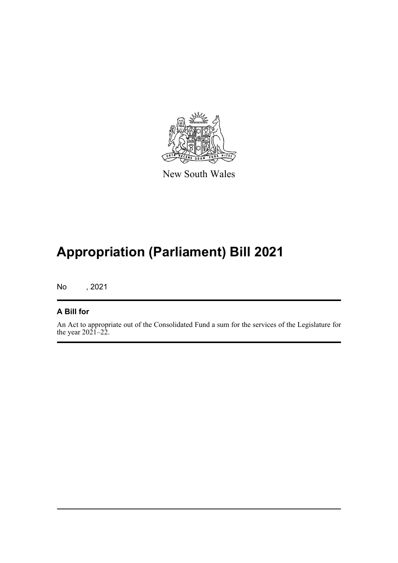

New South Wales

## **Appropriation (Parliament) Bill 2021**

No , 2021

#### **A Bill for**

An Act to appropriate out of the Consolidated Fund a sum for the services of the Legislature for the year  $20\overline{21} - 2\overline{2}$ .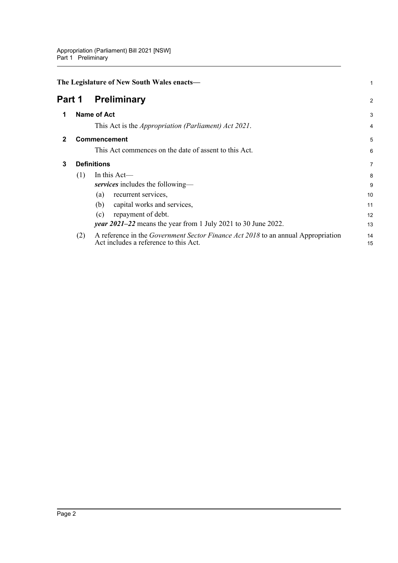<span id="page-4-3"></span><span id="page-4-2"></span><span id="page-4-1"></span><span id="page-4-0"></span>

| The Legislature of New South Wales enacts- |     |                                                                                                                                  |                |  |
|--------------------------------------------|-----|----------------------------------------------------------------------------------------------------------------------------------|----------------|--|
| Part 1                                     |     | <b>Preliminary</b>                                                                                                               | $\overline{2}$ |  |
| 1                                          |     | <b>Name of Act</b>                                                                                                               | 3              |  |
|                                            |     | This Act is the <i>Appropriation (Parliament) Act 2021</i> .                                                                     | 4              |  |
|                                            |     | <b>Commencement</b>                                                                                                              | 5              |  |
|                                            |     | This Act commences on the date of assent to this Act.                                                                            | 6              |  |
| 3                                          |     | <b>Definitions</b>                                                                                                               |                |  |
|                                            | (1) | In this Act-                                                                                                                     | 8              |  |
|                                            |     | services includes the following-                                                                                                 | 9              |  |
|                                            |     | recurrent services,<br>(a)                                                                                                       | 10             |  |
|                                            |     | capital works and services,<br>(b)                                                                                               | 11             |  |
|                                            |     | repayment of debt.<br>(c)                                                                                                        | 12             |  |
|                                            |     | <i>year</i> $2021-22$ means the year from 1 July 2021 to 30 June 2022.                                                           | 13             |  |
|                                            | (2) | A reference in the <i>Government Sector Finance Act 2018</i> to an annual Appropriation<br>Act includes a reference to this Act. | 14<br>15       |  |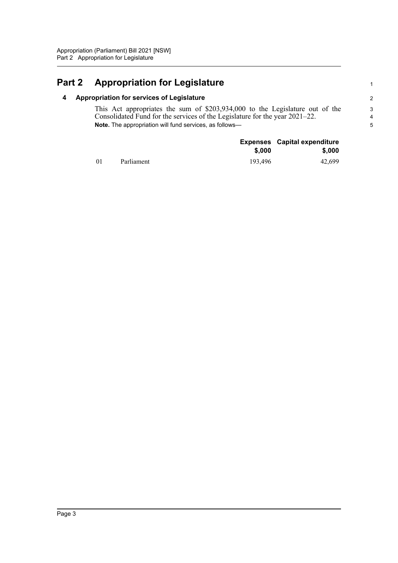## <span id="page-5-1"></span><span id="page-5-0"></span>**Part 2 Appropriation for Legislature**

#### **4 Appropriation for services of Legislature**

This Act appropriates the sum of \$203,934,000 to the Legislature out of the Consolidated Fund for the services of the Legislature for the year 2021–22. **Note.** The appropriation will fund services, as follows1

|            |            |         | <b>Expenses</b> Capital expenditure |  |
|------------|------------|---------|-------------------------------------|--|
|            |            | \$,000  | \$,000                              |  |
| $\Omega$ 1 | Parliament | 193,496 | 42,699                              |  |